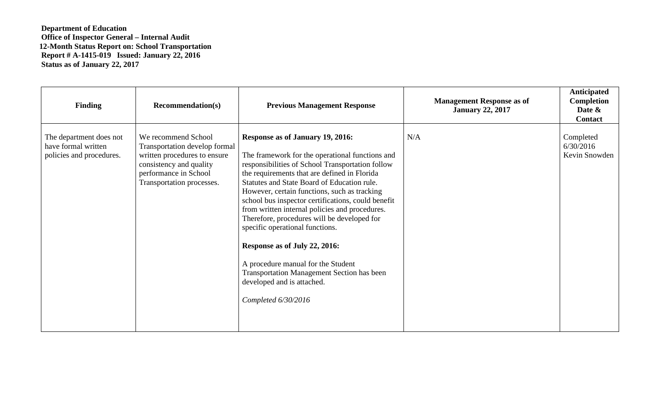## **Department of Education Office of Inspector General – Internal Audit 12-Month Status Report on: School Transportation Report # A-1415-019 Issued: January 22, 2016 Status as of January 22, 2017**

| <b>Finding</b>                                                             | <b>Recommendation(s)</b>                                                                                                                                                     | <b>Previous Management Response</b>                                                                                                                                                                                                                                                                                                                                                                                                                                                                                                                                                                                                                               | <b>Management Response as of</b><br><b>January 22, 2017</b> | <b>Anticipated</b><br>Completion<br>Date &<br>Contact |
|----------------------------------------------------------------------------|------------------------------------------------------------------------------------------------------------------------------------------------------------------------------|-------------------------------------------------------------------------------------------------------------------------------------------------------------------------------------------------------------------------------------------------------------------------------------------------------------------------------------------------------------------------------------------------------------------------------------------------------------------------------------------------------------------------------------------------------------------------------------------------------------------------------------------------------------------|-------------------------------------------------------------|-------------------------------------------------------|
| The department does not<br>have formal written<br>policies and procedures. | We recommend School<br><b>Transportation develop formal</b><br>written procedures to ensure<br>consistency and quality<br>performance in School<br>Transportation processes. | Response as of January 19, 2016:<br>The framework for the operational functions and<br>responsibilities of School Transportation follow<br>the requirements that are defined in Florida<br>Statutes and State Board of Education rule.<br>However, certain functions, such as tracking<br>school bus inspector certifications, could benefit<br>from written internal policies and procedures.<br>Therefore, procedures will be developed for<br>specific operational functions.<br>Response as of July 22, 2016:<br>A procedure manual for the Student<br><b>Transportation Management Section has been</b><br>developed and is attached.<br>Completed 6/30/2016 | N/A                                                         | Completed<br>6/30/2016<br>Kevin Snowden               |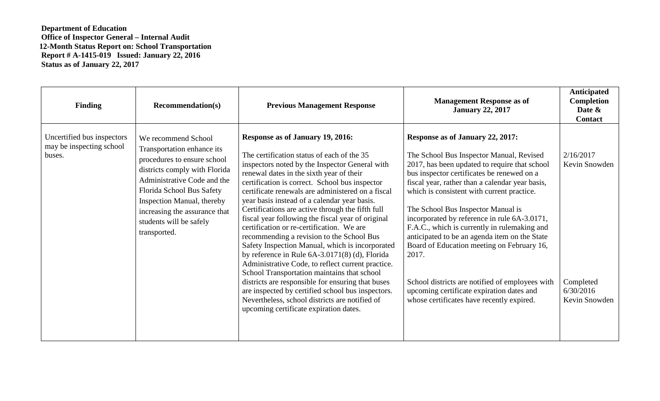## **Department of Education Office of Inspector General – Internal Audit 12-Month Status Report on: School Transportation Report # A-1415-019 Issued: January 22, 2016 Status as of January 22, 2017**

| <b>Finding</b>                                                   | <b>Recommendation(s)</b>                                                                                                                                                                                                                                                                | <b>Previous Management Response</b>                                                                                                                                                                                                                                                                                                                                                                                                                                                                                                                                                                                                                                                                                                                                                                                                                                                                                                                            | <b>Management Response as of</b><br><b>January 22, 2017</b>                                                                                                                                                                                                                                                                                                                                                                                                                                                                                                                                                                                                             | <b>Anticipated</b><br>Completion<br>Date &<br><b>Contact</b>          |
|------------------------------------------------------------------|-----------------------------------------------------------------------------------------------------------------------------------------------------------------------------------------------------------------------------------------------------------------------------------------|----------------------------------------------------------------------------------------------------------------------------------------------------------------------------------------------------------------------------------------------------------------------------------------------------------------------------------------------------------------------------------------------------------------------------------------------------------------------------------------------------------------------------------------------------------------------------------------------------------------------------------------------------------------------------------------------------------------------------------------------------------------------------------------------------------------------------------------------------------------------------------------------------------------------------------------------------------------|-------------------------------------------------------------------------------------------------------------------------------------------------------------------------------------------------------------------------------------------------------------------------------------------------------------------------------------------------------------------------------------------------------------------------------------------------------------------------------------------------------------------------------------------------------------------------------------------------------------------------------------------------------------------------|-----------------------------------------------------------------------|
| Uncertified bus inspectors<br>may be inspecting school<br>buses. | We recommend School<br>Transportation enhance its<br>procedures to ensure school<br>districts comply with Florida<br>Administrative Code and the<br>Florida School Bus Safety<br>Inspection Manual, thereby<br>increasing the assurance that<br>students will be safely<br>transported. | <b>Response as of January 19, 2016:</b><br>The certification status of each of the 35<br>inspectors noted by the Inspector General with<br>renewal dates in the sixth year of their<br>certification is correct. School bus inspector<br>certificate renewals are administered on a fiscal<br>year basis instead of a calendar year basis.<br>Certifications are active through the fifth full<br>fiscal year following the fiscal year of original<br>certification or re-certification. We are<br>recommending a revision to the School Bus<br>Safety Inspection Manual, which is incorporated<br>by reference in Rule $6A-3.0171(8)$ (d), Florida<br>Administrative Code, to reflect current practice.<br>School Transportation maintains that school<br>districts are responsible for ensuring that buses<br>are inspected by certified school bus inspectors.<br>Nevertheless, school districts are notified of<br>upcoming certificate expiration dates. | Response as of January 22, 2017:<br>The School Bus Inspector Manual, Revised<br>2017, has been updated to require that school<br>bus inspector certificates be renewed on a<br>fiscal year, rather than a calendar year basis,<br>which is consistent with current practice.<br>The School Bus Inspector Manual is<br>incorporated by reference in rule 6A-3.0171,<br>F.A.C., which is currently in rulemaking and<br>anticipated to be an agenda item on the State<br>Board of Education meeting on February 16,<br>2017.<br>School districts are notified of employees with<br>upcoming certificate expiration dates and<br>whose certificates have recently expired. | 2/16/2017<br>Kevin Snowden<br>Completed<br>6/30/2016<br>Kevin Snowden |